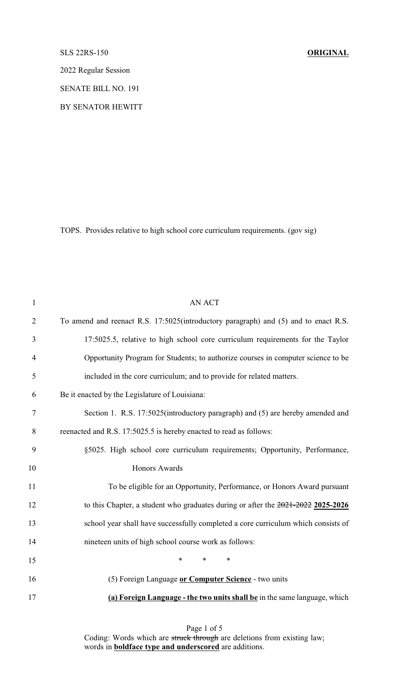## SLS 22RS-150 **ORIGINAL**

2022 Regular Session

SENATE BILL NO. 191

BY SENATOR HEWITT

TOPS. Provides relative to high school core curriculum requirements. (gov sig)

| $\mathbf{1}$   | <b>AN ACT</b>                                                                        |
|----------------|--------------------------------------------------------------------------------------|
| $\overline{2}$ | To amend and reenact R.S. 17:5025(introductory paragraph) and (5) and to enact R.S.  |
| 3              | 17:5025.5, relative to high school core curriculum requirements for the Taylor       |
| 4              | Opportunity Program for Students; to authorize courses in computer science to be     |
| 5              | included in the core curriculum; and to provide for related matters.                 |
| 6              | Be it enacted by the Legislature of Louisiana:                                       |
| 7              | Section 1. R.S. 17:5025(introductory paragraph) and (5) are hereby amended and       |
| $8\,$          | reenacted and R.S. 17:5025.5 is hereby enacted to read as follows:                   |
| 9              | §5025. High school core curriculum requirements; Opportunity, Performance,           |
| 10             | <b>Honors Awards</b>                                                                 |
| 11             | To be eligible for an Opportunity, Performance, or Honors Award pursuant             |
| 12             | to this Chapter, a student who graduates during or after the $2021 - 2022$ 2025-2026 |
| 13             | school year shall have successfully completed a core curriculum which consists of    |
| 14             | nineteen units of high school course work as follows:                                |
| 15             | $\ast$<br>$\ast$<br>$\ast$                                                           |
| 16             | (5) Foreign Language or Computer Science - two units                                 |
| 17             | (a) Foreign Language - the two units shall be in the same language, which            |

Page 1 of 5 Coding: Words which are struck through are deletions from existing law; words in **boldface type and underscored** are additions.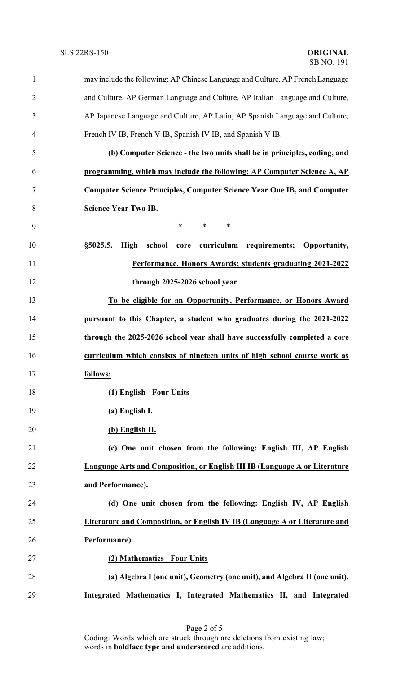| $\mathbf{1}$   | may include the following: AP Chinese Language and Culture, AP French Language |
|----------------|--------------------------------------------------------------------------------|
| $\overline{2}$ | and Culture, AP German Language and Culture, AP Italian Language and Culture,  |
| 3              | AP Japanese Language and Culture, AP Latin, AP Spanish Language and Culture,   |
| 4              | French IV IB, French V IB, Spanish IV IB, and Spanish V IB.                    |
| 5              | (b) Computer Science - the two units shall be in principles, coding, and       |
| 6              | programming, which may include the following: AP Computer Science A, AP        |
| 7              | <b>Computer Science Principles, Computer Science Year One IB, and Computer</b> |
| 8              | <b>Science Year Two IB.</b>                                                    |
| 9              | $\ast$<br>$\ast$<br>∗                                                          |
| 10             | school<br>curriculum requirements; Opportunity,<br>§5025.5.<br>High<br>core    |
| 11             | Performance, Honors Awards; students graduating 2021-2022                      |
| 12             | through 2025-2026 school year                                                  |
| 13             | To be eligible for an Opportunity, Performance, or Honors Award                |
| 14             | pursuant to this Chapter, a student who graduates during the 2021-2022         |
| 15             | through the 2025-2026 school year shall have successfully completed a core     |
| 16             | curriculum which consists of nineteen units of high school course work as      |
| 17             | follows:                                                                       |
| 18             | (1) English - Four Units                                                       |
| 19             | (a) English I.                                                                 |
| 20             | (b) English II.                                                                |
| 21             | (c) One unit chosen from the following: English III, AP English                |
| 22             | Language Arts and Composition, or English III IB (Language A or Literature     |
| 23             | and Performance).                                                              |
| 24             | (d) One unit chosen from the following: English IV, AP English                 |
| 25             | Literature and Composition, or English IV IB (Language A or Literature and     |
| 26             | Performance).                                                                  |
| 27             | (2) Mathematics - Four Units                                                   |
| 28             | (a) Algebra I (one unit), Geometry (one unit), and Algebra II (one unit).      |
| 29             | Integrated Mathematics I, Integrated Mathematics II, and Integrated            |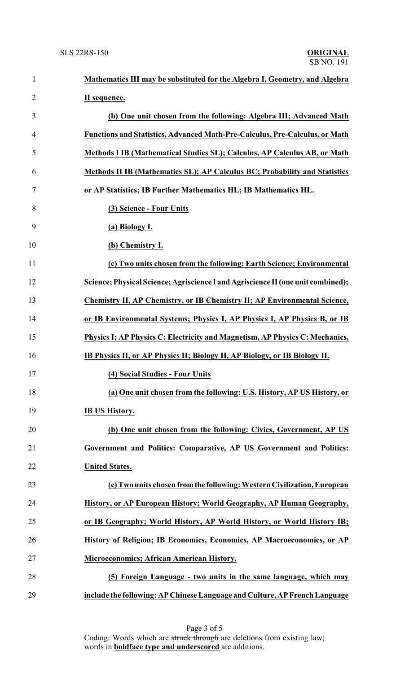| $\mathbf{1}$   | Mathematics III may be substituted for the Algebra I, Geometry, and Algebra      |
|----------------|----------------------------------------------------------------------------------|
| $\overline{2}$ | II sequence.                                                                     |
| 3              | (b) One unit chosen from the following: Algebra III; Advanced Math               |
| 4              | Functions and Statistics, Advanced Math-Pre-Calculus, Pre-Calculus, or Math      |
| 5              | Methods I IB (Mathematical Studies SL); Calculus, AP Calculus AB, or Math        |
| 6              | Methods II IB (Mathematics SL); AP Calculus BC; Probability and Statistics       |
| 7              | or AP Statistics; IB Further Mathematics HL; IB Mathematics HL.                  |
| 8              | (3) Science - Four Units                                                         |
| 9              | (a) Biology I.                                                                   |
| 10             | (b) Chemistry I.                                                                 |
| 11             | (c) Two units chosen from the following: Earth Science; Environmental            |
| 12             | Science; Physical Science; Agriscience I and Agriscience II (one unit combined); |
| 13             | Chemistry II, AP Chemistry, or IB Chemistry II; AP Environmental Science,        |
| 14             | or IB Environmental Systems; Physics I, AP Physics I, AP Physics B, or IB        |
| 15             | Physics I; AP Physics C: Electricity and Magnetism, AP Physics C: Mechanics,     |
| 16             | IB Physics II, or AP Physics II; Biology II, AP Biology, or IB Biology II.       |
| 17             | (4) Social Studies - Four Units                                                  |
| 18             | (a) One unit chosen from the following: U.S. History, AP US History, or          |
| 19             | <b>IB US History.</b>                                                            |
| 20             | (b) One unit chosen from the following: Civics, Government, AP US                |
| 21             | Government and Politics: Comparative, AP US Government and Politics:             |
| 22             | <b>United States.</b>                                                            |
| 23             | (c) Two units chosen from the following: Western Civilization, European          |
| 24             | History, or AP European History; World Geography, AP Human Geography,            |
| 25             | or IB Geography; World History, AP World History, or World History IB;           |
| 26             | History of Religion; IB Economics, Economics, AP Macroeconomics, or AP           |
| 27             | Microeconomics; African American History.                                        |
| 28             | (5) Foreign Language - two units in the same language, which may                 |
| 29             | include the following: AP Chinese Language and Culture, AP French Language       |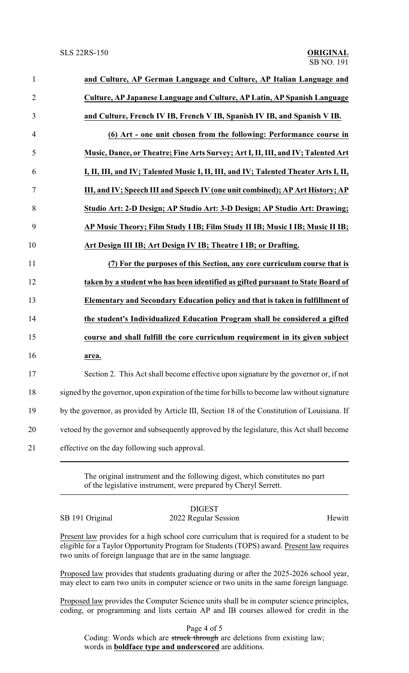| $\mathbf{1}$   | and Culture, AP German Language and Culture, AP Italian Language and                          |
|----------------|-----------------------------------------------------------------------------------------------|
| $\overline{2}$ | Culture, AP Japanese Language and Culture, AP Latin, AP Spanish Language                      |
| 3              | and Culture, French IV IB, French V IB, Spanish IV IB, and Spanish V IB.                      |
| $\overline{4}$ | (6) Art - one unit chosen from the following: Performance course in                           |
| 5              | Music, Dance, or Theatre; Fine Arts Survey; Art I, II, III, and IV; Talented Art              |
| 6              | I, II, III, and IV; Talented Music I, II, III, and IV; Talented Theater Arts I, II,           |
| $\tau$         | III, and IV; Speech III and Speech IV (one unit combined); AP Art History; AP                 |
| 8              | Studio Art: 2-D Design; AP Studio Art: 3-D Design; AP Studio Art: Drawing;                    |
| 9              | AP Music Theory; Film Study I IB; Film Study II IB; Music I IB; Music II IB;                  |
| 10             | Art Design III IB; Art Design IV IB; Theatre I IB; or Drafting.                               |
| 11             | (7) For the purposes of this Section, any core curriculum course that is                      |
| 12             | taken by a student who has been identified as gifted pursuant to State Board of               |
| 13             | Elementary and Secondary Education policy and that is taken in fulfillment of                 |
| 14             | the student's Individualized Education Program shall be considered a gifted                   |
| 15             | course and shall fulfill the core curriculum requirement in its given subject                 |
| 16             | area.                                                                                         |
| 17             | Section 2. This Act shall become effective upon signature by the governor or, if not          |
| 18             | signed by the governor, upon expiration of the time for bills to become law without signature |
| 19             | by the governor, as provided by Article III, Section 18 of the Constitution of Louisiana. If  |
| 20             | vetoed by the governor and subsequently approved by the legislature, this Act shall become    |
| 21             | effective on the day following such approval.                                                 |
|                |                                                                                               |

The original instrument and the following digest, which constitutes no part of the legislative instrument, were prepared by Cheryl Serrett.

## DIGEST SB 191 Original 2022 Regular Session Hewitt

Present law provides for a high school core curriculum that is required for a student to be eligible for a Taylor Opportunity Program for Students (TOPS) award. Present law requires two units of foreign language that are in the same language.

Proposed law provides that students graduating during or after the 2025-2026 school year, may elect to earn two units in computer science or two units in the same foreign language.

Proposed law provides the Computer Science units shall be in computer science principles, coding, or programming and lists certain AP and IB courses allowed for credit in the

Page 4 of 5

Coding: Words which are struck through are deletions from existing law; words in **boldface type and underscored** are additions.